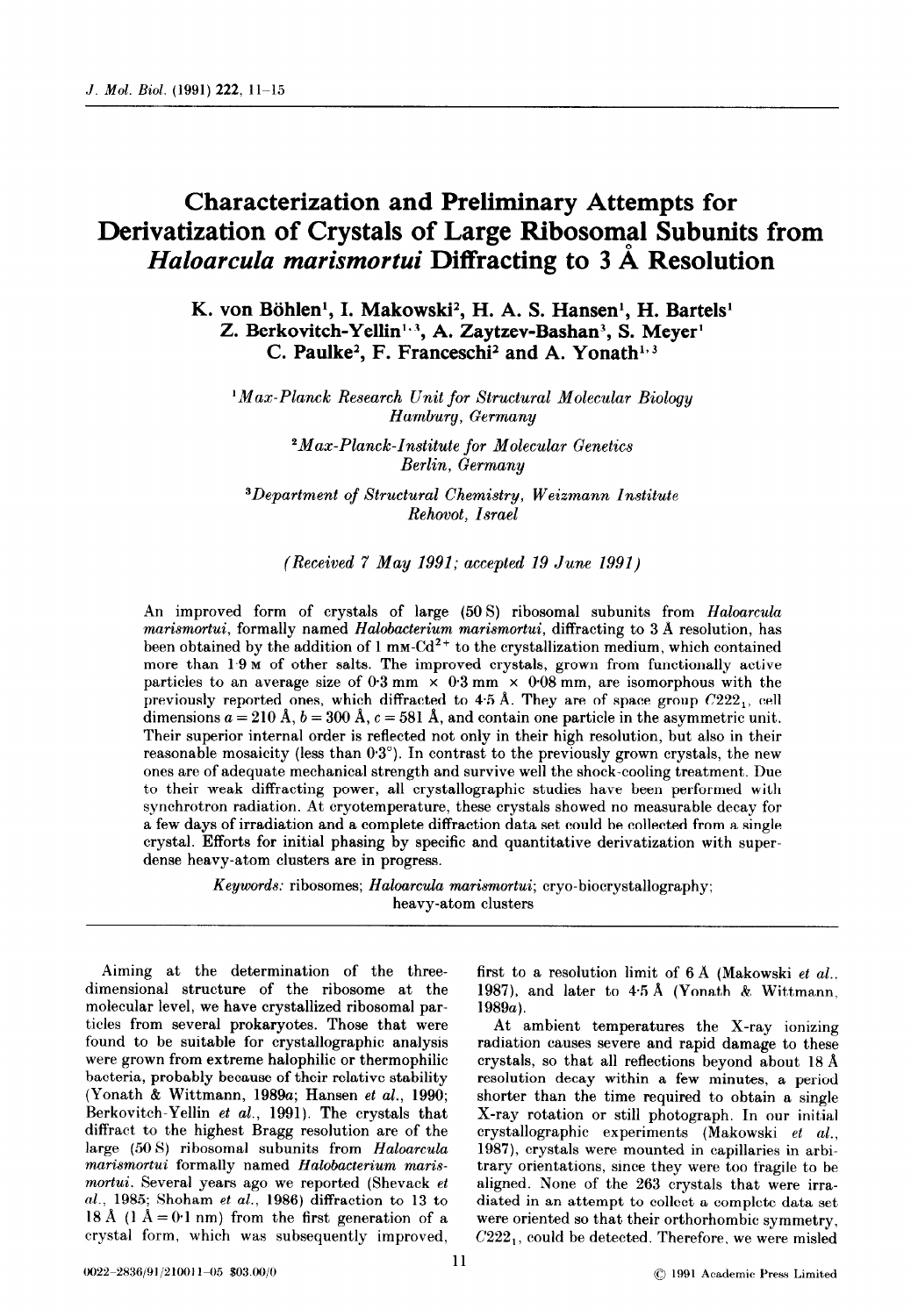## Characterization and Preliminary Attempts for Derivatization of Crystals of Large Ribosomal Subunits from Haloarcula marismortui Diffracting to 3 Å Resolution

K. von Böhlen<sup>1</sup>, I. Makowski<sup>2</sup>, H. A. S. Hansen<sup>1</sup>, H. Bartels<sup>1</sup> Z. Berkovitch-Yellin<sup>1,3</sup>, A. Zaytzev-Bashan<sup>3</sup>, S. Meyer<sup>1</sup> C. Paulke<sup>2</sup>, F. Franceschi<sup>2</sup> and A. Yonath<sup>1,3</sup>

<sup>1</sup>Max-Planck Research Unit for Structural Molecular Biology Hamburg, Germany

> 2Max-Planck-Institute for Molecular Genetics Berlin, Germany

3Department of Structural Chemistry, Weizmann Institute Rehovot, Israel

## (Received 7 May 1991; accepted 19 June 1991)

An improved form of crystals of large (50 S) ribosomal subunits from Haloarcula marismortui, formally named Halobacterium marismortui, diffracting to 3 Å resolution, has been obtained by the addition of  $1 \text{ mm-Cd}^{2+}$  to the crystallization medium, which contained more than  $1.9 \text{ m}$  of other salts. The improved crystals, grown from functionally active particles to an average size of  $0.3 \text{ mm} \times 0.3 \text{ mm} \times 0.08 \text{ mm}$ , are isomorphous with the previously reported ones, which diffracted to  $4.5$  Å. They are of space group  $C222<sub>1</sub>$ , cell dimensions  $a = 210 \text{ Å}, b = 300 \text{ Å}, c = 581 \text{ Å},$  and contain one particle in the asymmetric unit. Their superior internal order is reflected not only in their high resolution, but also in their reasonable mosaicity (less than  $0.3^{\circ}$ ). In contrast to the previously grown crystals, the new ones are of adequate mechanical strength and survive well the shock-cooling treatment. Due to their weak diffracting power, all crystallographic studies have been performed with synchrotron radiation. At cryotemperature, these crystals showed no measurable decay for a few days of irradiation and a complete diffraction data set could be collected from a single crystal. Efforts for initial phasing by specific and quantitative derivatization with superdense heavy-atom clusters are in progress.

> Keywords: ribosomes; Haloarcula marismortui; cryo-biocrystallography; heavy-atom clusters

Aiming at the determination of the threedimensional structure of the ribosome at the molecular level, we have crystallized ribosomal particles from several prokaryotes. Those that were found to be suitable for crystallographic analysis were grown from extreme halophilic or thermophilic bacteria, probably because of their relative stability (Yonath & Wittmann, 1989a; Hansen et al., 1990; Berkovitch-Yellin et al., 1991). The crystals that diffract to the highest Bragg resolution are of the large (50 8) ribosomal subunits from Haloarcula marismortui formally named Halobacterium marismortui. Several years ago we reported (Shevack et al., 1985; Shoham et al., 1986) diffraction to 13 to 18 Å (1  $\AA = 0$  1 nm) from the first generation of a crystal form, which was subsequently improved,

first to a resolution limit of  $6 \text{ Å}$  (Makowski et al... 1987), and later to 45A (Yonath & Wittmann, 1989a).

At ambient temperatures the X-ray ionizing radiation causes severe and rapid damage to these crystals, so that all reflections beyond about  $18 \text{ Å}$ resolution decay within a few minutes, a period shorter than the time required to obtain a single X-ray rotation or still photograph. In our initial crystallographic experiments (Makowski et al., 1987), crystals were mounted in capillaries in arbitrary orientations, since they were too fragile to be aligned. None of the 263 crystals that were irradiated in an attempt to collect a complete data set were oriented so that their orthorhombic symmetry,  $C222<sub>1</sub>$ , could be detected. Therefore, we were misled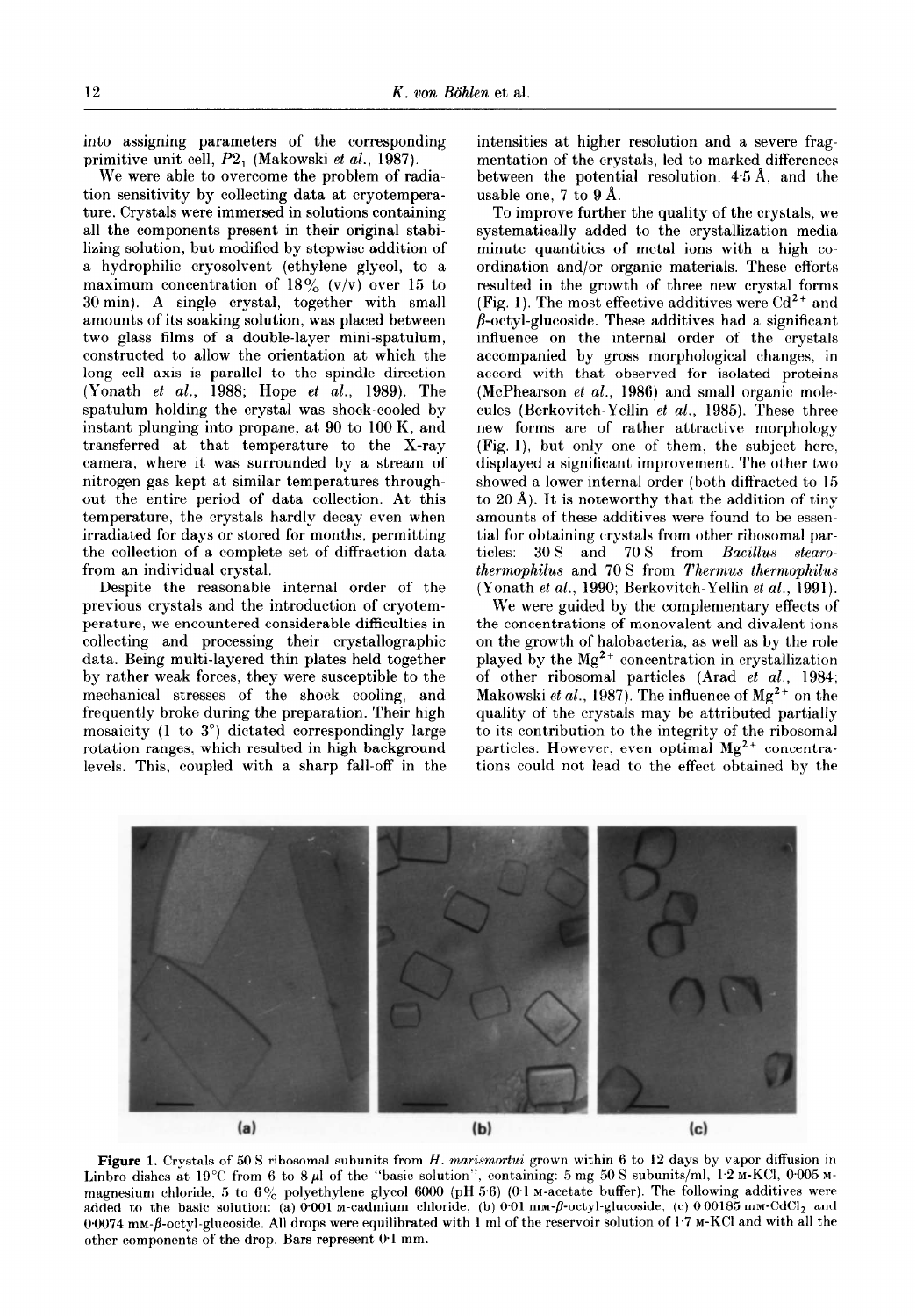into assigning parameters of the corresponding primitive unit cell, P2, (Makowski et al., 1987).

We were able to overcome the problem of radiation sensitivity by collecting data at cryotemperature. Crystals were immersed in solutions containing all the components present in their original stabilizing solution, but modified by stepwise addition of a hydrophilic cryosolvent (ethylene glycol, to a maximum concentration of  $18\%$  (v/v) over 15 to 30 min). A single crystal, together with small amounts of its soaking solution, was placed between two glass films of a double-layer mini-spatulum, constructed to allow the orientation at which the long cell axis is parallel to the spindle direction (Yonath et al., 1988; Hope et al., 1989). The spatulum holding the crystal was shock-cooled by instant plunging into propane, at 90 to 100 K, and transferred at that temperature to the X-ray camera, where it was surrounded by a stream of nitrogen gas kept at similar temperatures throughout the entire period of data collection. At this temperature, the crystals hardly decay even when irradiated for days or stored for months, permitting the collection of a complete set of diffraction data from an individual crystal.

Despite the reasonable internal order of the previous crystals and the introduction of cryotemperature, we encountered considerable difficulties in collecting and processing their crystallographic data. Being multi-layered thin plates held together by rather weak forces, they were susceptible to the mechanical stresses of the shock cooling, and frequently broke during the preparation. Their high mosaicity (1 to 3") dictated correspondingly large rotation ranges, which resulted in high background levels. This, coupled with a sharp fall-off in the intensities at higher resolution and a severe fragmentation of the crystals, led to marked differences between the potential resolution, 4.5 A, and the usable one, 7 to 9 A.

To improve further the quality of the crystals, we systematically added to the crystallization media minute quantities of metal ions with a high coordination and/or organic materials. These efforts resulted in the growth of three new crystal forms (Fig. 1). The most effective additives were  $Cd^{2+}$  and  $\beta$ -octyl-glucoside. These additives had a significant influence on the internal order of the crystals accompanied by gross morphological changes, in accord with that observed for isolated proteins (McPhearson et al., 1986) and small organic molecules (Berkovitch-Yellin et al., 1985). These three new forms are of rather attractive morphology (Fig. l), but only one of them, the subject here, displayed a significant improvement. The other two showed a lower internal order (both diffracted to 15 to 20 A). It is noteworthy that the addition of tiny amounts of these additives were found to be essential for obtaining crystals from other ribosomal particles: 30 S and 70 S from Bacillus stearothermophilus and 70 S from Thermus thermophilus (Yonath et al., 1990; Berkovitch-Yellin et al., 1991).

We were guided by the complementary effects of the concentrations of monovalent and divalent ions on the growth of halobacteria, as well as by the role played by the  $Mg^{2+}$  concentration in crystallization of other ribosomal particles (Arad et al., 1984; Makowski et al., 1987). The influence of  $Mg^{2+}$  on the quality of the crystals may be attributed partially to its contribution to the integrity of the ribosomal particles. However, even optimal  $Mg^{2+}$  concentrations could not lead to the effect obtained by the



Figure 1. Crystals of 50 S ribosomal subunits from H. marismortui grown within 6 to 12 days by vapor diffusion in Linbro dishes at 19°C from 6 to 8  $\mu$ l of the "basic solution", containing: 5 mg 50 S subunits/ml, 1<sup>.</sup>2 M-KCl, 0005 Mmagnesium chloride, 5 to 6% polyethylene glycol 6000 (pH 5.6) (0.1 M-acetate buffer). The following additives were added to the basic solution: (a)  $0.001$  M-cadmium chloride; (b)  $0.01$  mm- $\beta$ -octyl-glucoside; (c)  $0.00185$  mm-CdCl<sub>2</sub> and 00074 mm- $\beta$ -octyl-glucoside. All drops were equilibrated with 1 ml of the reservoir solution of 1.7 M-KCl and with all the other components of the drop. Bars represent 0.1 mm.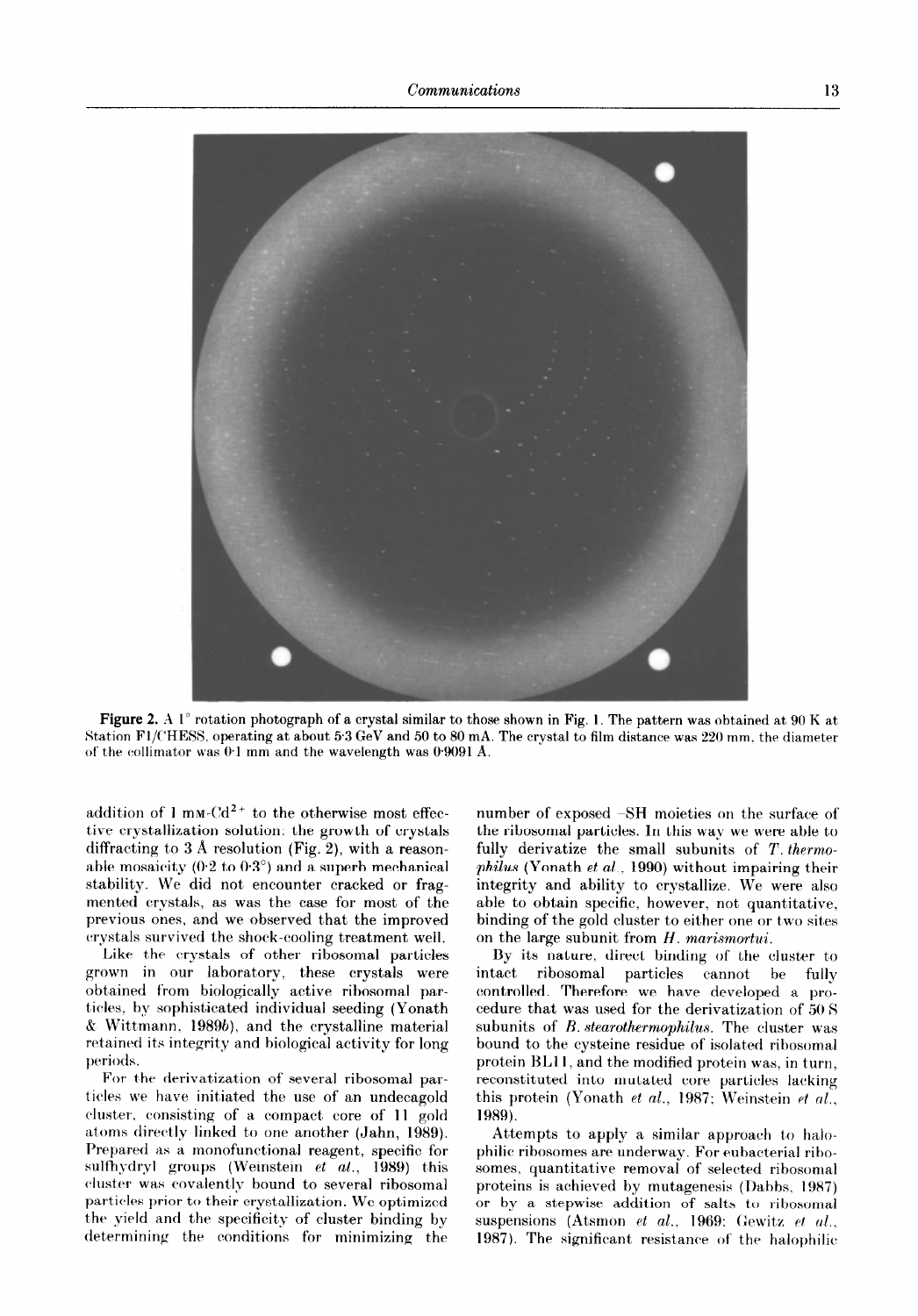

Figure 2. A 1<sup>°</sup> rotation photograph of a crystal similar to those shown in Fig. 1. The pattern was obtained at 90 K at Station FT/CHESS, operating at about 5 3 GeV and 50 to 80 mA. The crystal to film distance was 220 mm, the diamete of the collimator was  $0.1$  mm and the wavelength was  $0.9091$  Å.

addition of 1 mm-Cd<sup>2+</sup> to the otherwise most effec- number of exposed -SH moieties on the surface of tive crystallization solution: the growth of crystals the ribosomal particles. In this way we were able to diffracting to 3 Å resolution (Fig. 2), with a reason-<br>able mosaicity (0.2 to 0.3°) and a superb mechanical philus (Yonath et al., 1990) without impairing their able mosaicity (0.2 to 0.3°) and a superb mechanical philus (Yonath et al., 1990) without impairing their stability. We did not encounter cracked or frag-<br>integrity and ability to crystallize. We were also stability. We did not encounter cracked or fragmented crystals, as was the case for most of the able to obtain specific, however, not quantitative, previous ones, and we observed that the improved binding of the gold cluster to either one or two sites crystals survived the shock-cooling treatment well. on the large subunit from  $H$ , marismortui.

Like the crystals of other ribosomal particles grown in our laboratory, these crystals were obtained from biologically active ribosomal particles. by sophisticated individual seeding (Yonath  $& Wittmann, 1989b), and the crystalline material$ retained its integrity and biological activity for long periods.

For the derivatization of several ribosomal particles we have initiated the use of an undecagold cluster., consisting of a compact, core of 11 gold atoms directly linked to one another (Jahn, 1989). Prepared as a monofunctional reagent, specific for sulfhydryl groups (Weinstein  $et [al., 1989]$  this cluster was covalently bound to several ribosomal particles prior to their crystallization. We optimized the yield and the specificity of cluster binding by determining the conditions for minimizing the

By its nature, direct binding of the cluster to intact ribosomal particles cannot be fully controlled. Therefore we have developed a procedure that was used for the derivatization of 50 8 subunits of *B. stearothermophilus*. The cluster was bound to the cysteine residue of isolated ribosomal protein BLll, and the modified protein was, in turn, reconstituted into mutated core particles lacking this protein (Yonath et al., 1987; Weinstein et al., 1989).

Attempts to apply a similar approach to halophilic ribosomes are underway. For eubacterial ribosomes, quantitative removal of selected ribosomal proteins is achieved by mutagenesis (Dabbs. 1987) or by a stepwise addition of salts to ribosomal suspensions (Atsmon et al., 1969: Gewitz et al., 1987). The significant resistance of the halophilic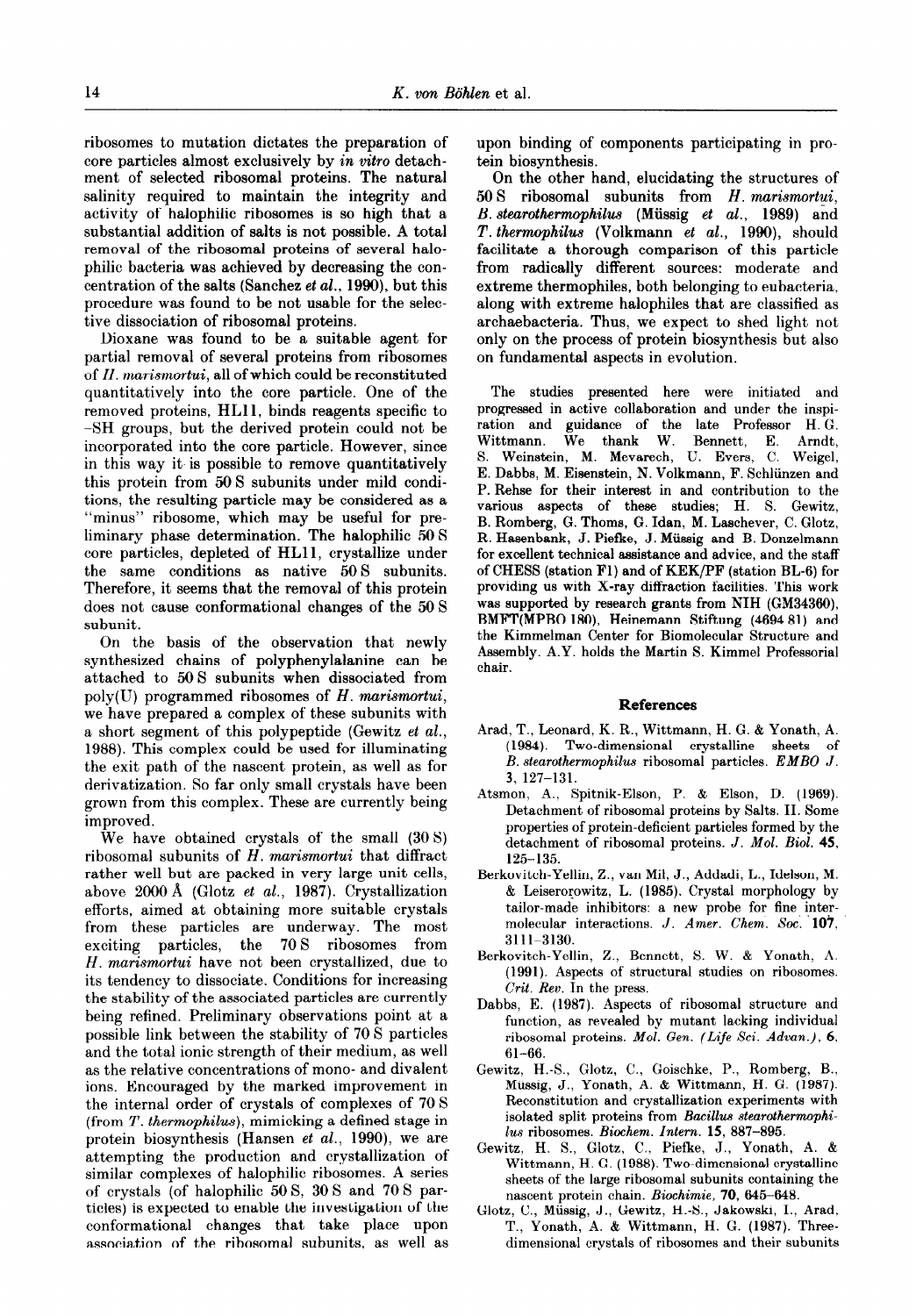ribosomes to mutation dictates the preparation of core particles almost exclusively by in vitro detachment of selected ribosomal proteins. The natural salinity required to maintain the integrity and activity of halophilic ribosomes is so high that a substantial addition of salts is not possible. A total removal of the ribosomal proteins of several halophilic bacteria was achieved by decreasing the concentration of the salts (Sanchez et al., 1990), but this procedure was found to be not usable for the selective dissociation of ribosomal proteins.

Dioxane was found to be a suitable agent for partial removal of several proteins from ribosomes of H. marismortui, all of which could be reconstituted quantitatively into the core particle. One of the removed proteins, HLI 1, binds reagents specific to -SH groups, but the derived protein could not be incorporated into the core particle. However, since in this way it is possible to remove quantitatively this protein from 50 S subunits under mild conditions, the resulting particle may be considered as a "minus" ribosome, which may be useful for preliminary phase determination. The halophilic 50 S core particles, depleted of HLll, crystallize under the same conditions as native 50 S subunits. Therefore, it seems that the removal of this protein does not cause conformational changes of the 50 S subunit.

On the basis of the observation that newly synthesized chains of polyphenylalanine can be attached to 50 S subunits when dissociated from  $poly(U)$  programmed ribosomes of H. marismortui, we have prepared a complex of these subunits with a short segment of this polypeptide (Gewitz et al., 1988). This complex could be used for illuminating the exit path of the nascent protein, as well as for derivatization. So far only small crystals have been grown from this complex. These are currently being improved.

We have obtained crystals of the small (30 S) ribosomal subunits of  $H$ . marismortui that diffract rather well but are packed in very large unit cells, above 2000 Å (Glotz et al., 1987). Crystallization efforts, aimed at obtaining more suitable crystals from these particles are underway. The most exciting particles, the 70 S ribosomes from H. marismortui have not been crystallized, due to its tendency to dissociate. Conditions for increasing the stability of the associated particles are currently being refined. Preliminary observations point at a possible link between the stability of 70 S particles and the total ionic strength of their medium, as well as the relative concentrations of mono- and divalent ions. Encouraged by the marked improvement in the internal order of crystals of complexes of 70 S (from T. thermophilus), mimicking a defined stage in protein biosynthesis (Hansen et al., 1990), we are attempting the production and crystallization of similar complexes of halophilic ribosomes. A series of crystals (of halophilic 50 S, 30 S and 70 S particles) is expected to enable the investigation of the conformational changes that take place upon association of the ribosomal subunits, as well as upon binding of components participating in protein biosynthesis.

On the other hand, elucidating the structures of  $50 S$  ribosomal subunits from H. marismortui, B. stearothermophilw (Miissig et al., 1989) and T. thermophilus (Volkmann et al., 1990), should facilitate a thorough comparison of this particle from radically different sources: moderate and extreme thermophiles, both belonging to eubacteria, along with extreme halophiles that are classified as archaebacteria. Thus, we expect to shed light not only on the process of protein biosynthesis but also on fundamental aspects in evolution.

The studies presented here were initiated and progressed in active collaboration and under the inspiration and guidance of the late Professor H. G. Wittmann. We thank W. Bennett, E. Amdt, S. Weinstein, M. Mevarech, U. Evers, C. Weigel, E. Dabbs, M. Eisenstein, N. Volkmann, F. Schliinzen and P. Rehse for their interest in and contribution to the various aspects of these studies; H. S. Gewitz, B. Romherg, G. Thorns, G. Idan, M. Laschever, C. Glotz, R. Hasenbank, J. Piefke, J. Miissig and B. Donzelmann for excellent technical assistance and advice, and the staff of CHESS (station Fl) and of KEK/PF (station BL-6) for providing us with X-ray diffraction facilities. This work was supported by research grante from NIH (GM34360), BMFT(MPB0 180), Heinemann Stiftung (4694 81) and the Kimmelman Center for Biomolecular Structure and Assembly. A.Y. holds the Martin S. Kimmel Professorial chair.

## References

- Arad, T., Leonard, K. R., Wittmann, H. G. & Yonath, A. (1984). Two-dimensional crystalline sheets of B. stearothermophilus ribosomal particles. EMBO J. 3, 127-131.
- Atsmon, A., Spitnik-Elson, P. & Elson, D. (1969). Detachment of ribosomal proteins by Salts. II. Some properties of protein-deficient particles formed by the detachment of ribosomal proteins.  $J.$  Mol. Biol. 45, 125-135.
- Berkovitch-Yellin, Z., van Mil, J., Addadi, L., Idelson, M. & Leiserorowitz, L. (1985). Crystal morphology by tailor-made inhibitors: a new probe for fine intermolecular interactions. J. Amer. Chem. Soc. 107, 3111-3130.
- Berkovitch-Yellin, Z., Bennett, S. W. & Yonath, A. (1991). Aspects of structural studies on ribosomes. Crit. Rev. In the press.
- Dabbs, E. (1987). Aspects of ribosomal structure and function, as revealed by mutant lacking individual ribosomal proteins. Mol. Gen. (Life Sci. Advan.), 6, 61-66.
- Gewitz, H.-S., Glotz, C., Goischke, P., Romberg, B., Miissig, J., Yonath, A. & Wittmann, H. G. (1987). Reconstitution and crystallization experiments with isolated split proteins from Bacillus stearothermophilus ribosomes. Biochem. Intern. 15, 887-895.
- Gewitz, H. S., Glotz, C.. Piefke, J., Yonath, A. &. Wittmann, H. G. (1988). Two-dimensional crystalline sheets of the large ribosomal subunits containing the nascent protein chain. Biochimie, 70, 645-648.
- Glotz, C., Miissig, J., Gewitz, H.-S., Jakowski, I., Arad, T., Yonath, A. & Wittmann, H. G. (1987). Threedimensional crystals of ribosomes and their subunits